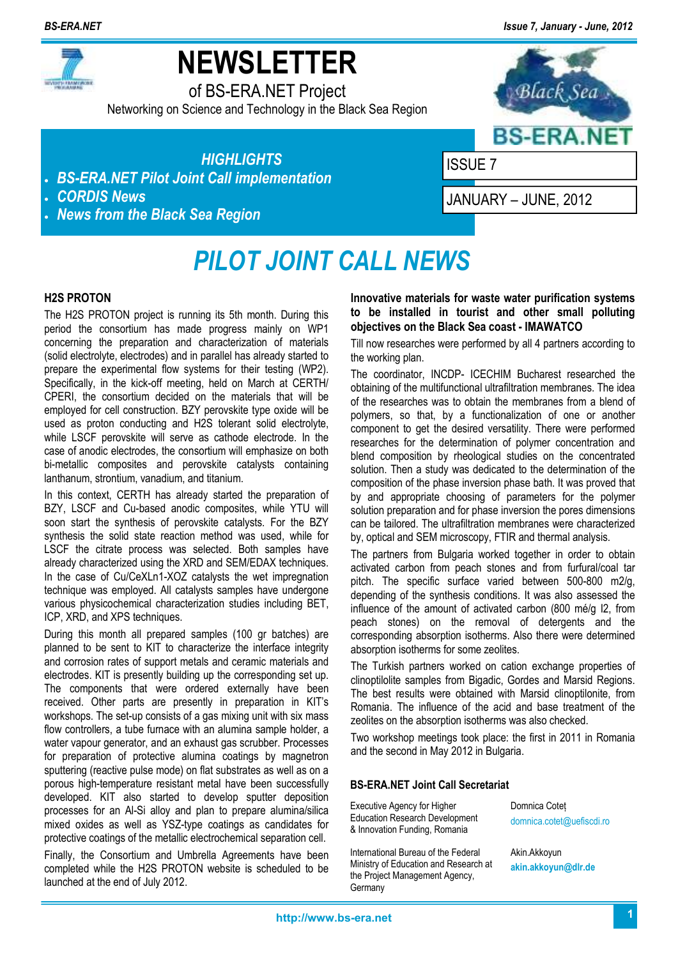*BS-ERA.NET Issue 7, January - June, 2012*



# **NEWSLETTER**

of BS-ERA.NET Project

Networking on Science and Technology in the Black Sea Region



*HIGHLIGHTS* 

- *BS-ERA.NET Pilot Joint Call implementation*
- *CORDIS News*
- *News from the Black Sea Region*

ISSUE 7

JANUARY – JUNE, 2012

## *PILOT JOINT CALL NEWS*

#### **H2S PROTON**

The H2S PROTON project is running its 5th month. During this period the consortium has made progress mainly on WP1 concerning the preparation and characterization of materials (solid electrolyte, electrodes) and in parallel has already started to prepare the experimental flow systems for their testing (WP2). Specifically, in the kick-off meeting, held on March at CERTH/ CPERI, the consortium decided on the materials that will be employed for cell construction. BZY perovskite type oxide will be used as proton conducting and H2S tolerant solid electrolyte, while LSCF perovskite will serve as cathode electrode. In the case of anodic electrodes, the consortium will emphasize on both bi-metallic composites and perovskite catalysts containing lanthanum, strontium, vanadium, and titanium.

In this context, CERTH has already started the preparation of BZY, LSCF and Cu-based anodic composites, while YTU will soon start the synthesis of perovskite catalysts. For the BZY synthesis the solid state reaction method was used, while for LSCF the citrate process was selected. Both samples have already characterized using the XRD and SEM/EDAX techniques. In the case of Cu/CeXLn1-XOZ catalysts the wet impregnation technique was employed. All catalysts samples have undergone various physicochemical characterization studies including BET, ICP, XRD, and XPS techniques.

During this month all prepared samples (100 gr batches) are planned to be sent to KIT to characterize the interface integrity and corrosion rates of support metals and ceramic materials and electrodes. KIT is presently building up the corresponding set up. The components that were ordered externally have been received. Other parts are presently in preparation in KIT's workshops. The set-up consists of a gas mixing unit with six mass flow controllers, a tube furnace with an alumina sample holder, a water vapour generator, and an exhaust gas scrubber. Processes for preparation of protective alumina coatings by magnetron sputtering (reactive pulse mode) on flat substrates as well as on a porous high-temperature resistant metal have been successfully developed. KIT also started to develop sputter deposition processes for an Al-Si alloy and plan to prepare alumina/silica mixed oxides as well as YSZ-type coatings as candidates for protective coatings of the metallic electrochemical separation cell.

Finally, the Consortium and Umbrella Agreements have been completed while the H2S PROTON website is scheduled to be launched at the end of July 2012.

**Innovative materials for waste water purification systems to be installed in tourist and other small polluting objectives on the Black Sea coast - IMAWATCO** 

Till now researches were performed by all 4 partners according to the working plan.

The coordinator, INCDP- ICECHIM Bucharest researched the obtaining of the multifunctional ultrafiltration membranes. The idea of the researches was to obtain the membranes from a blend of polymers, so that, by a functionalization of one or another component to get the desired versatility. There were performed researches for the determination of polymer concentration and blend composition by rheological studies on the concentrated solution. Then a study was dedicated to the determination of the composition of the phase inversion phase bath. It was proved that by and appropriate choosing of parameters for the polymer solution preparation and for phase inversion the pores dimensions can be tailored. The ultrafiltration membranes were characterized by, optical and SEM microscopy, FTIR and thermal analysis.

The partners from Bulgaria worked together in order to obtain activated carbon from peach stones and from furfural/coal tar pitch. The specific surface varied between 500-800 m2/g, depending of the synthesis conditions. It was also assessed the influence of the amount of activated carbon (800 mé/g I2, from peach stones) on the removal of detergents and the corresponding absorption isotherms. Also there were determined absorption isotherms for some zeolites.

The Turkish partners worked on cation exchange properties of clinoptilolite samples from Bigadic, Gordes and Marsid Regions. The best results were obtained with Marsid clinoptilonite, from Romania. The influence of the acid and base treatment of the zeolites on the absorption isotherms was also checked.

Two workshop meetings took place: the first in 2011 in Romania and the second in May 2012 in Bulgaria.

#### **BS-ERA.NET Joint Call Secretariat**

Executive Agency for Higher Education Research Development & Innovation Funding, Romania

International Bureau of the Federal Ministry of Education and Research at the Project Management Agency, **Germany** 

Domnica Coteț domnica.cotet@uefiscdi.ro

Akin.Akkoyun **akin.akkoyun@dlr.de**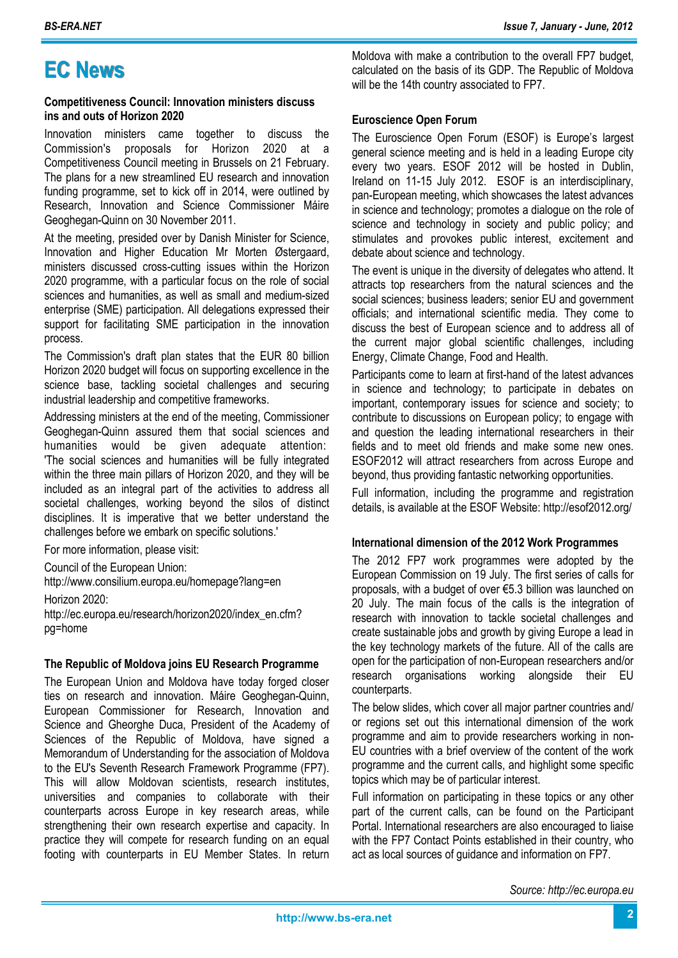### **EC News**

#### **Competitiveness Council: Innovation ministers discuss ins and outs of Horizon 2020**

Innovation ministers came together to discuss the Commission's proposals for Horizon 2020 at a Competitiveness Council meeting in Brussels on 21 February. The plans for a new streamlined EU research and innovation funding programme, set to kick off in 2014, were outlined by Research, Innovation and Science Commissioner Máire Geoghegan-Quinn on 30 November 2011.

At the meeting, presided over by Danish Minister for Science, Innovation and Higher Education Mr Morten Østergaard, ministers discussed cross-cutting issues within the Horizon 2020 programme, with a particular focus on the role of social sciences and humanities, as well as small and medium-sized enterprise (SME) participation. All delegations expressed their support for facilitating SME participation in the innovation process.

The Commission's draft plan states that the EUR 80 billion Horizon 2020 budget will focus on supporting excellence in the science base, tackling societal challenges and securing industrial leadership and competitive frameworks.

Addressing ministers at the end of the meeting, Commissioner Geoghegan-Quinn assured them that social sciences and humanities would be given adequate attention: 'The social sciences and humanities will be fully integrated within the three main pillars of Horizon 2020, and they will be included as an integral part of the activities to address all societal challenges, working beyond the silos of distinct disciplines. It is imperative that we better understand the challenges before we embark on specific solutions.'

For more information, please visit:

Council of the European Union:

http://www.consilium.europa.eu/homepage?lang=en

Horizon 2020:

http://ec.europa.eu/research/horizon2020/index\_en.cfm? pg=home

#### **The Republic of Moldova joins EU Research Programme**

The European Union and Moldova have today forged closer ties on research and innovation. Máire Geoghegan-Quinn, European Commissioner for Research, Innovation and Science and Gheorghe Duca, President of the Academy of Sciences of the Republic of Moldova, have signed a Memorandum of Understanding for the association of Moldova to the EU's Seventh Research Framework Programme (FP7). This will allow Moldovan scientists, research institutes, universities and companies to collaborate with their counterparts across Europe in key research areas, while strengthening their own research expertise and capacity. In practice they will compete for research funding on an equal footing with counterparts in EU Member States. In return

Moldova with make a contribution to the overall FP7 budget, calculated on the basis of its GDP. The Republic of Moldova will be the 14th country associated to FP7.

#### **Euroscience Open Forum**

The Euroscience Open Forum (ESOF) is Europe's largest general science meeting and is held in a leading Europe city every two years. ESOF 2012 will be hosted in Dublin, Ireland on 11-15 July 2012. ESOF is an interdisciplinary, pan-European meeting, which showcases the latest advances in science and technology; promotes a dialogue on the role of science and technology in society and public policy; and stimulates and provokes public interest, excitement and debate about science and technology.

The event is unique in the diversity of delegates who attend. It attracts top researchers from the natural sciences and the social sciences; business leaders; senior EU and government officials; and international scientific media. They come to discuss the best of European science and to address all of the current major global scientific challenges, including Energy, Climate Change, Food and Health.

Participants come to learn at first-hand of the latest advances in science and technology; to participate in debates on important, contemporary issues for science and society; to contribute to discussions on European policy; to engage with and question the leading international researchers in their fields and to meet old friends and make some new ones. ESOF2012 will attract researchers from across Europe and beyond, thus providing fantastic networking opportunities.

Full information, including the programme and registration details, is available at the ESOF Website: http://esof2012.org/

#### **International dimension of the 2012 Work Programmes**

The 2012 FP7 work programmes were adopted by the European Commission on 19 July. The first series of calls for proposals, with a budget of over €5.3 billion was launched on 20 July. The main focus of the calls is the integration of research with innovation to tackle societal challenges and create sustainable jobs and growth by giving Europe a lead in the key technology markets of the future. All of the calls are open for the participation of non-European researchers and/or research organisations working alongside their EU counterparts.

The below slides, which cover all major partner countries and/ or regions set out this international dimension of the work programme and aim to provide researchers working in non-EU countries with a brief overview of the content of the work programme and the current calls, and highlight some specific topics which may be of particular interest.

Full information on participating in these topics or any other part of the current calls, can be found on the Participant Portal. International researchers are also encouraged to liaise with the FP7 Contact Points established in their country, who act as local sources of guidance and information on FP7.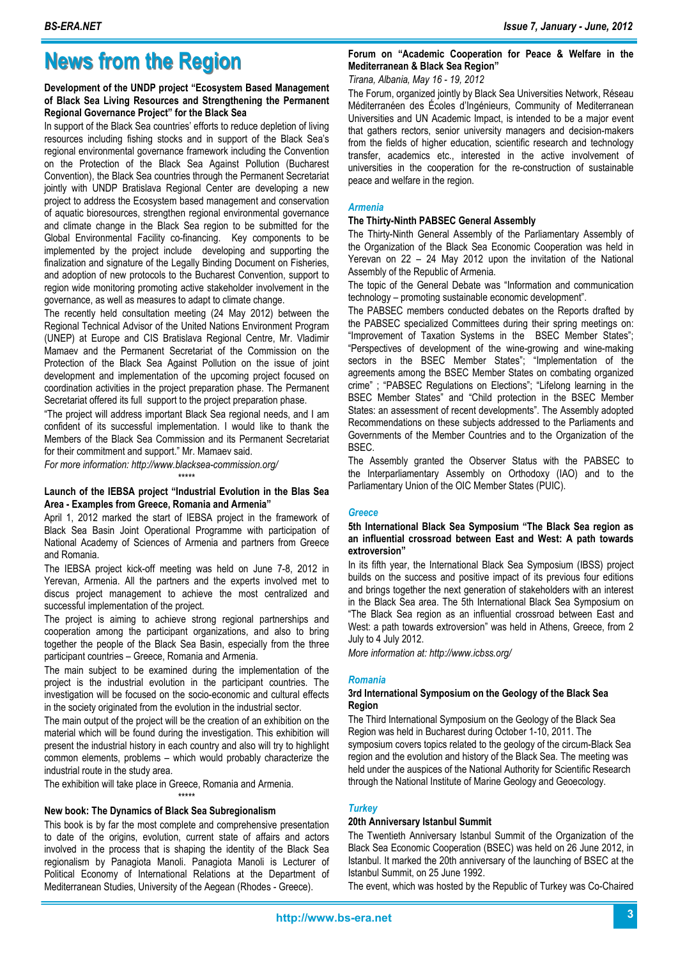### **News from the Region**

#### **Development of the UNDP project "Ecosystem Based Management of Black Sea Living Resources and Strengthening the Permanent Regional Governance Project" for the Black Sea**

In support of the Black Sea countries' efforts to reduce depletion of living resources including fishing stocks and in support of the Black Sea's regional environmental governance framework including the Convention on the Protection of the Black Sea Against Pollution (Bucharest Convention), the Black Sea countries through the Permanent Secretariat jointly with UNDP Bratislava Regional Center are developing a new project to address the Ecosystem based management and conservation of aquatic bioresources, strengthen regional environmental governance and climate change in the Black Sea region to be submitted for the Global Environmental Facility co-financing. Key components to be implemented by the project include developing and supporting the finalization and signature of the Legally Binding Document on Fisheries, and adoption of new protocols to the Bucharest Convention, support to region wide monitoring promoting active stakeholder involvement in the governance, as well as measures to adapt to climate change.

The recently held consultation meeting (24 May 2012) between the Regional Technical Advisor of the United Nations Environment Program (UNEP) at Europe and CIS Bratislava Regional Centre, Mr. Vladimir Mamaev and the Permanent Secretariat of the Commission on the Protection of the Black Sea Against Pollution on the issue of joint development and implementation of the upcoming project focused on coordination activities in the project preparation phase. The Permanent Secretariat offered its full support to the project preparation phase.

"The project will address important Black Sea regional needs, and I am confident of its successful implementation. I would like to thank the Members of the Black Sea Commission and its Permanent Secretariat for their commitment and support." Mr. Mamaev said.

*For more information: http://www.blacksea-commission.org/* 

#### \*\*\*\*\* **Launch of the IEBSA project "Industrial Evolution in the Blas Sea Area - Examples from Greece, Romania and Armenia"**

April 1, 2012 marked the start of IEBSA project in the framework of Black Sea Basin Joint Operational Programme with participation of National Academy of Sciences of Armenia and partners from Greece and Romania.

The IEBSA project kick-off meeting was held on June 7-8, 2012 in Yerevan, Armenia. All the partners and the experts involved met to discus project management to achieve the most centralized and successful implementation of the project.

The project is aiming to achieve strong regional partnerships and cooperation among the participant organizations, and also to bring together the people of the Black Sea Basin, especially from the three participant countries – Greece, Romania and Armenia.

The main subject to be examined during the implementation of the project is the industrial evolution in the participant countries. The investigation will be focused on the socio-economic and cultural effects in the society originated from the evolution in the industrial sector.

The main output of the project will be the creation of an exhibition on the material which will be found during the investigation. This exhibition will present the industrial history in each country and also will try to highlight common elements, problems – which would probably characterize the industrial route in the study area.

The exhibition will take place in Greece, Romania and Armenia. \*\*\*\*\*

#### **New book: The Dynamics of Black Sea Subregionalism**

This book is by far the most complete and comprehensive presentation to date of the origins, evolution, current state of affairs and actors involved in the process that is shaping the identity of the Black Sea regionalism by Panagiota Manoli. Panagiota Manoli is Lecturer of Political Economy of International Relations at the Department of Mediterranean Studies, University of the Aegean (Rhodes - Greece).

#### **Forum on "Academic Cooperation for Peace & Welfare in the Mediterranean & Black Sea Region"**

*Tirana, Albania, May 16 - 19, 2012* 

The Forum, organized jointly by Black Sea Universities Network, Réseau Méditerranéen des Écoles d'Ingénieurs, Community of Mediterranean Universities and UN Academic Impact, is intended to be a major event that gathers rectors, senior university managers and decision-makers from the fields of higher education, scientific research and technology transfer, academics etc., interested in the active involvement of universities in the cooperation for the re-construction of sustainable peace and welfare in the region.

#### *Armenia*

#### **The Thirty-Ninth PABSEC General Assembly**

The Thirty-Ninth General Assembly of the Parliamentary Assembly of the Organization of the Black Sea Economic Cooperation was held in Yerevan on 22 – 24 May 2012 upon the invitation of the National Assembly of the Republic of Armenia.

The topic of the General Debate was "Information and communication technology – promoting sustainable economic development".

The PABSEC members conducted debates on the Reports drafted by the PABSEC specialized Committees during their spring meetings on: "Improvement of Taxation Systems in the BSEC Member States"; "Perspectives of development of the wine-growing and wine-making sectors in the BSEC Member States"; "Implementation of the agreements among the BSEC Member States on combating organized crime" ; "PABSEC Regulations on Elections"; "Lifelong learning in the BSEC Member States" and "Child protection in the BSEC Member States: an assessment of recent developments". The Assembly adopted Recommendations on these subjects addressed to the Parliaments and Governments of the Member Countries and to the Organization of the BSEC.

The Assembly granted the Observer Status with the PABSEC to the Interparliamentary Assembly on Orthodoxy (IAO) and to the Parliamentary Union of the OIC Member States (PUIC).

#### *Greece*

#### **5th International Black Sea Symposium "The Black Sea region as an influential crossroad between East and West: A path towards extroversion"**

In its fifth year, the International Black Sea Symposium (IBSS) project builds on the success and positive impact of its previous four editions and brings together the next generation of stakeholders with an interest in the Black Sea area. The 5th International Black Sea Symposium on "The Black Sea region as an influential crossroad between East and West: a path towards extroversion" was held in Athens, Greece, from 2 July to 4 July 2012.

*More information at: http://www.icbss.org/* 

#### *Romania*

#### **3rd International Symposium on the Geology of the Black Sea Region**

The Third International Symposium on the Geology of the Black Sea Region was held in Bucharest during October 1-10, 2011. The symposium covers topics related to the geology of the circum-Black Sea region and the evolution and history of the Black Sea. The meeting was held under the auspices of the National Authority for Scientific Research through the National Institute of Marine Geology and Geoecology.

#### *Turkey*

#### **20th Anniversary Istanbul Summit**

The Twentieth Anniversary Istanbul Summit of the Organization of the Black Sea Economic Cooperation (BSEC) was held on 26 June 2012, in Istanbul. It marked the 20th anniversary of the launching of BSEC at the Istanbul Summit, on 25 June 1992.

The event, which was hosted by the Republic of Turkey was Co-Chaired